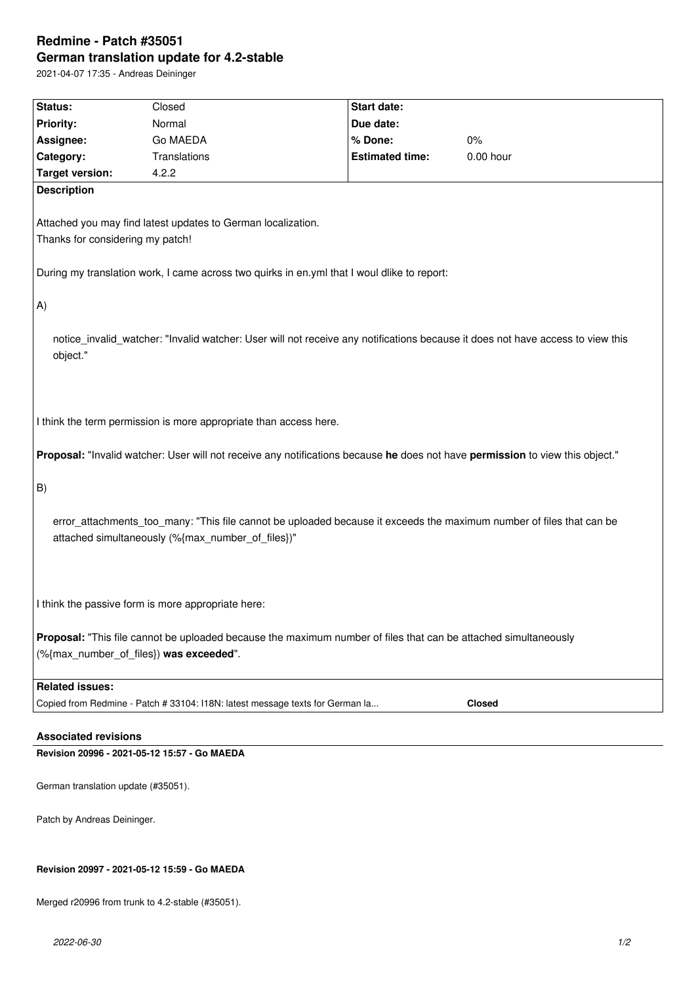# **Redmine - Patch #35051 German translation update for 4.2-stable**

2021-04-07 17:35 - Andreas Deininger

| Status:                                                                                                                                    | Closed                                                                                                                        | Start date:            |               |  |  |
|--------------------------------------------------------------------------------------------------------------------------------------------|-------------------------------------------------------------------------------------------------------------------------------|------------------------|---------------|--|--|
| <b>Priority:</b>                                                                                                                           | Normal                                                                                                                        | Due date:              |               |  |  |
| Assignee:                                                                                                                                  | Go MAEDA                                                                                                                      | % Done:                | $0\%$         |  |  |
| Category:                                                                                                                                  | Translations                                                                                                                  | <b>Estimated time:</b> | 0.00 hour     |  |  |
| <b>Target version:</b>                                                                                                                     | 4.2.2                                                                                                                         |                        |               |  |  |
| <b>Description</b>                                                                                                                         |                                                                                                                               |                        |               |  |  |
|                                                                                                                                            |                                                                                                                               |                        |               |  |  |
|                                                                                                                                            | Attached you may find latest updates to German localization.                                                                  |                        |               |  |  |
| Thanks for considering my patch!                                                                                                           |                                                                                                                               |                        |               |  |  |
| During my translation work, I came across two quirks in en.yml that I woul dlike to report:                                                |                                                                                                                               |                        |               |  |  |
| $ A\rangle$                                                                                                                                |                                                                                                                               |                        |               |  |  |
|                                                                                                                                            |                                                                                                                               |                        |               |  |  |
| notice_invalid_watcher: "Invalid watcher: User will not receive any notifications because it does not have access to view this<br>object." |                                                                                                                               |                        |               |  |  |
|                                                                                                                                            |                                                                                                                               |                        |               |  |  |
|                                                                                                                                            |                                                                                                                               |                        |               |  |  |
| I think the term permission is more appropriate than access here.                                                                          |                                                                                                                               |                        |               |  |  |
|                                                                                                                                            | Proposal: "Invalid watcher: User will not receive any notifications because he does not have permission to view this object." |                        |               |  |  |
|                                                                                                                                            |                                                                                                                               |                        |               |  |  |
| B)                                                                                                                                         |                                                                                                                               |                        |               |  |  |
|                                                                                                                                            |                                                                                                                               |                        |               |  |  |
| error_attachments_too_many: "This file cannot be uploaded because it exceeds the maximum number of files that can be                       |                                                                                                                               |                        |               |  |  |
| attached simultaneously (%{max_number_of_files})"                                                                                          |                                                                                                                               |                        |               |  |  |
|                                                                                                                                            |                                                                                                                               |                        |               |  |  |
|                                                                                                                                            |                                                                                                                               |                        |               |  |  |
|                                                                                                                                            |                                                                                                                               |                        |               |  |  |
| I think the passive form is more appropriate here:                                                                                         |                                                                                                                               |                        |               |  |  |
|                                                                                                                                            |                                                                                                                               |                        |               |  |  |
| Proposal: "This file cannot be uploaded because the maximum number of files that can be attached simultaneously                            |                                                                                                                               |                        |               |  |  |
| (%{max_number_of_files}) was exceeded".                                                                                                    |                                                                                                                               |                        |               |  |  |
|                                                                                                                                            |                                                                                                                               |                        |               |  |  |
| <b>Related issues:</b>                                                                                                                     |                                                                                                                               |                        |               |  |  |
|                                                                                                                                            | Copied from Redmine - Patch # 33104: I18N: latest message texts for German la                                                 |                        | <b>Closed</b> |  |  |
|                                                                                                                                            |                                                                                                                               |                        |               |  |  |
| <b>Associated revisions</b>                                                                                                                |                                                                                                                               |                        |               |  |  |
| Revision 20996 - 2021-05-12 15:57 - Go MAEDA                                                                                               |                                                                                                                               |                        |               |  |  |

German translation update (#35051).

Patch by Andreas Deininger.

### **Revision 20997 - 2021-05-12 15:59 - Go MAEDA**

Merged r20996 from trunk to 4.2-stable (#35051).